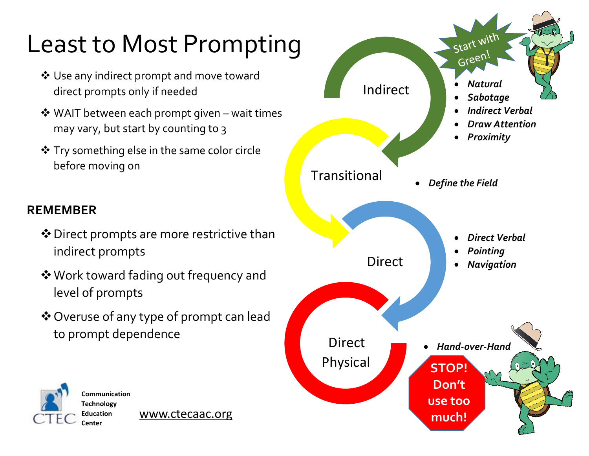## Least to Most Prompting

- ❖ Use any indirect prompt and move toward direct prompts only if needed
- ❖ WAIT between each prompt given wait times may vary, but start by counting to 3
- ❖ Try something else in the same color circle before moving on

## **REMEMBER**

- ❖Direct prompts are more restrictive than indirect prompts
- ❖Work toward fading out frequency and level of prompts
- ❖Overuse of any type of prompt can lead to prompt dependence



[www.ctecaac.org](http://www.ctecaac.org/)